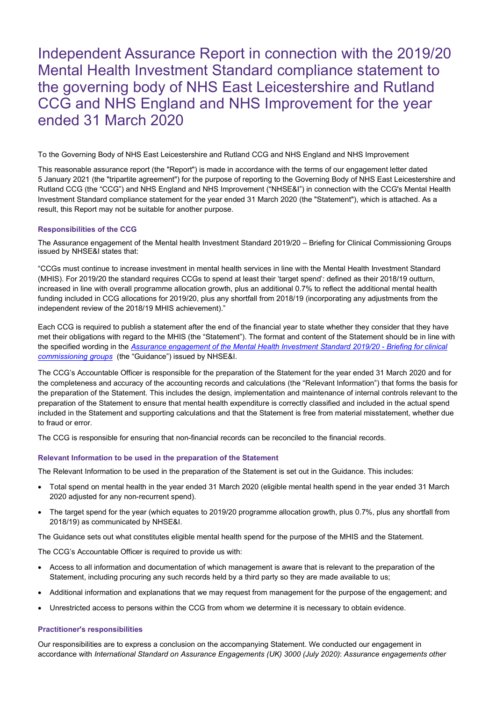Independent Assurance Report in connection with the 2019/20 Mental Health Investment Standard compliance statement to the governing body of NHS East Leicestershire and Rutland CCG and NHS England and NHS Improvement for the year ended 31 March 2020

To the Governing Body of NHS East Leicestershire and Rutland CCG and NHS England and NHS Improvement

This reasonable assurance report (the "Report") is made in accordance with the terms of our engagement letter dated 5 January 2021 (the "tripartite agreement") for the purpose of reporting to the Governing Body of NHS East Leicestershire and Rutland CCG (the "CCG") and NHS England and NHS Improvement ("NHSE&I") in connection with the CCG's Mental Health Investment Standard compliance statement for the year ended 31 March 2020 (the "Statement"), which is attached. As a result, this Report may not be suitable for another purpose.

## Responsibilities of the CCG

The Assurance engagement of the Mental health Investment Standard 2019/20 – Briefing for Clinical Commissioning Groups issued by NHSE&I states that:

"CCGs must continue to increase investment in mental health services in line with the Mental Health Investment Standard (MHIS). For 2019/20 the standard requires CCGs to spend at least their 'target spend': defined as their 2018/19 outturn, increased in line with overall programme allocation growth, plus an additional 0.7% to reflect the additional mental health funding included in CCG allocations for 2019/20, plus any shortfall from 2018/19 (incorporating any adjustments from the independent review of the 2018/19 MHIS achievement)."

Each CCG is required to publish a statement after the end of the financial year to state whether they consider that they have met their obligations with regard to the MHIS (the "Statement"). The format and content of the Statement should be in line with the specified wording in the Assurance engagement of the Mental Health Investment Standard 2019/20 - Briefing for clinical commissioning groups (the "Guidance") issued by NHSE&I.

The CCG's Accountable Officer is responsible for the preparation of the Statement for the year ended 31 March 2020 and for the completeness and accuracy of the accounting records and calculations (the "Relevant Information") that forms the basis for the preparation of the Statement. This includes the design, implementation and maintenance of internal controls relevant to the preparation of the Statement to ensure that mental health expenditure is correctly classified and included in the actual spend included in the Statement and supporting calculations and that the Statement is free from material misstatement, whether due to fraud or error.

The CCG is responsible for ensuring that non-financial records can be reconciled to the financial records.

#### Relevant Information to be used in the preparation of the Statement

The Relevant Information to be used in the preparation of the Statement is set out in the Guidance. This includes:

- Total spend on mental health in the year ended 31 March 2020 (eligible mental health spend in the year ended 31 March 2020 adjusted for any non-recurrent spend).
- The target spend for the year (which equates to 2019/20 programme allocation growth, plus 0.7%, plus any shortfall from 2018/19) as communicated by NHSE&I.

The Guidance sets out what constitutes eligible mental health spend for the purpose of the MHIS and the Statement.

The CCG's Accountable Officer is required to provide us with:

- Access to all information and documentation of which management is aware that is relevant to the preparation of the Statement, including procuring any such records held by a third party so they are made available to us;
- Additional information and explanations that we may request from management for the purpose of the engagement; and
- Unrestricted access to persons within the CCG from whom we determine it is necessary to obtain evidence.

## Practitioner's responsibilities

Our responsibilities are to express a conclusion on the accompanying Statement. We conducted our engagement in accordance with International Standard on Assurance Engagements (UK) 3000 (July 2020): Assurance engagements other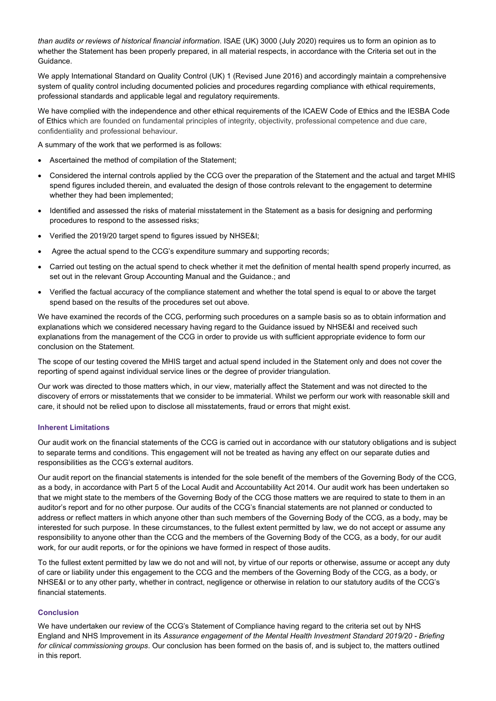than audits or reviews of historical financial information. ISAE (UK) 3000 (July 2020) requires us to form an opinion as to whether the Statement has been properly prepared, in all material respects, in accordance with the Criteria set out in the Guidance.

We apply International Standard on Quality Control (UK) 1 (Revised June 2016) and accordingly maintain a comprehensive system of quality control including documented policies and procedures regarding compliance with ethical requirements, professional standards and applicable legal and regulatory requirements.

We have complied with the independence and other ethical requirements of the ICAEW Code of Ethics and the IESBA Code of Ethics which are founded on fundamental principles of integrity, objectivity, professional competence and due care, confidentiality and professional behaviour.

A summary of the work that we performed is as follows:

- Ascertained the method of compilation of the Statement;
- Considered the internal controls applied by the CCG over the preparation of the Statement and the actual and target MHIS spend figures included therein, and evaluated the design of those controls relevant to the engagement to determine whether they had been implemented;
- Identified and assessed the risks of material misstatement in the Statement as a basis for designing and performing procedures to respond to the assessed risks;
- Verified the 2019/20 target spend to figures issued by NHSE&I:
- Agree the actual spend to the CCG's expenditure summary and supporting records;
- Carried out testing on the actual spend to check whether it met the definition of mental health spend properly incurred, as set out in the relevant Group Accounting Manual and the Guidance.; and
- Verified the factual accuracy of the compliance statement and whether the total spend is equal to or above the target spend based on the results of the procedures set out above.

We have examined the records of the CCG, performing such procedures on a sample basis so as to obtain information and explanations which we considered necessary having regard to the Guidance issued by NHSE&I and received such explanations from the management of the CCG in order to provide us with sufficient appropriate evidence to form our conclusion on the Statement.

The scope of our testing covered the MHIS target and actual spend included in the Statement only and does not cover the reporting of spend against individual service lines or the degree of provider triangulation.

Our work was directed to those matters which, in our view, materially affect the Statement and was not directed to the discovery of errors or misstatements that we consider to be immaterial. Whilst we perform our work with reasonable skill and care, it should not be relied upon to disclose all misstatements, fraud or errors that might exist.

#### Inherent Limitations

Our audit work on the financial statements of the CCG is carried out in accordance with our statutory obligations and is subject to separate terms and conditions. This engagement will not be treated as having any effect on our separate duties and responsibilities as the CCG's external auditors.

Our audit report on the financial statements is intended for the sole benefit of the members of the Governing Body of the CCG, as a body, in accordance with Part 5 of the Local Audit and Accountability Act 2014. Our audit work has been undertaken so that we might state to the members of the Governing Body of the CCG those matters we are required to state to them in an auditor's report and for no other purpose. Our audits of the CCG's financial statements are not planned or conducted to address or reflect matters in which anyone other than such members of the Governing Body of the CCG, as a body, may be interested for such purpose. In these circumstances, to the fullest extent permitted by law, we do not accept or assume any responsibility to anyone other than the CCG and the members of the Governing Body of the CCG, as a body, for our audit work, for our audit reports, or for the opinions we have formed in respect of those audits.

To the fullest extent permitted by law we do not and will not, by virtue of our reports or otherwise, assume or accept any duty of care or liability under this engagement to the CCG and the members of the Governing Body of the CCG, as a body, or NHSE&I or to any other party, whether in contract, negligence or otherwise in relation to our statutory audits of the CCG's financial statements.

# Conclusion

We have undertaken our review of the CCG's Statement of Compliance having regard to the criteria set out by NHS England and NHS Improvement in its Assurance engagement of the Mental Health Investment Standard 2019/20 - Briefing for clinical commissioning groups. Our conclusion has been formed on the basis of, and is subject to, the matters outlined in this report.